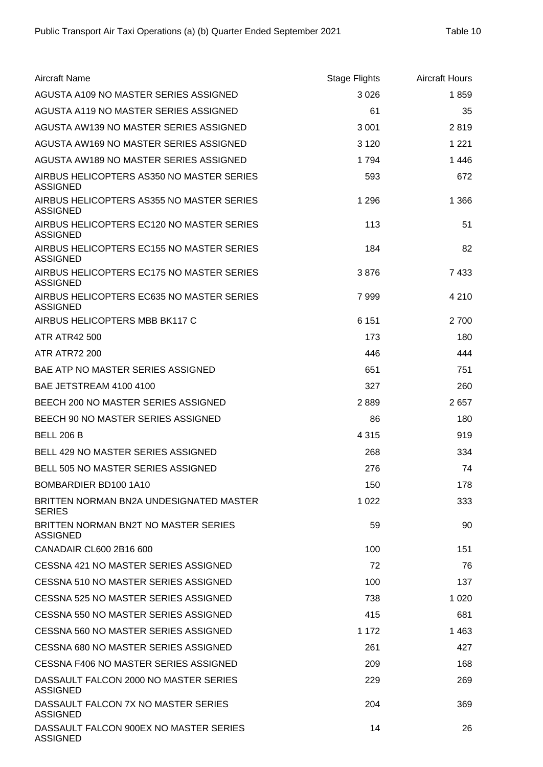| Aircraft Name                                                | <b>Stage Flights</b> | <b>Aircraft Hours</b> |
|--------------------------------------------------------------|----------------------|-----------------------|
| AGUSTA A109 NO MASTER SERIES ASSIGNED                        | 3026                 | 1859                  |
| AGUSTA A119 NO MASTER SERIES ASSIGNED                        | 61                   | 35                    |
| AGUSTA AW139 NO MASTER SERIES ASSIGNED                       | 3 0 0 1              | 2819                  |
| AGUSTA AW169 NO MASTER SERIES ASSIGNED                       | 3 1 2 0              | 1 2 2 1               |
| AGUSTA AW189 NO MASTER SERIES ASSIGNED                       | 1794                 | 1446                  |
| AIRBUS HELICOPTERS AS350 NO MASTER SERIES<br><b>ASSIGNED</b> | 593                  | 672                   |
| AIRBUS HELICOPTERS AS355 NO MASTER SERIES<br><b>ASSIGNED</b> | 1 2 9 6              | 1 3 6 6               |
| AIRBUS HELICOPTERS EC120 NO MASTER SERIES<br><b>ASSIGNED</b> | 113                  | 51                    |
| AIRBUS HELICOPTERS EC155 NO MASTER SERIES<br><b>ASSIGNED</b> | 184                  | 82                    |
| AIRBUS HELICOPTERS EC175 NO MASTER SERIES<br><b>ASSIGNED</b> | 3876                 | 7433                  |
| AIRBUS HELICOPTERS EC635 NO MASTER SERIES<br><b>ASSIGNED</b> | 7999                 | 4 2 1 0               |
| AIRBUS HELICOPTERS MBB BK117 C                               | 6 1 5 1              | 2 700                 |
| <b>ATR ATR42 500</b>                                         | 173                  | 180                   |
| <b>ATR ATR72 200</b>                                         | 446                  | 444                   |
| <b>BAE ATP NO MASTER SERIES ASSIGNED</b>                     | 651                  | 751                   |
| BAE JETSTREAM 4100 4100                                      | 327                  | 260                   |
| BEECH 200 NO MASTER SERIES ASSIGNED                          | 2889                 | 2657                  |
| BEECH 90 NO MASTER SERIES ASSIGNED                           | 86                   | 180                   |
| <b>BELL 206 B</b>                                            | 4 3 1 5              | 919                   |
| <b>BELL 429 NO MASTER SERIES ASSIGNED</b>                    | 268                  | 334                   |
| <b>BELL 505 NO MASTER SERIES ASSIGNED</b>                    | 276                  | 74                    |
| BOMBARDIER BD100 1A10                                        | 150                  | 178                   |
| BRITTEN NORMAN BN2A UNDESIGNATED MASTER<br><b>SERIES</b>     | 1 0 2 2              | 333                   |
| BRITTEN NORMAN BN2T NO MASTER SERIES<br><b>ASSIGNED</b>      | 59                   | 90                    |
| CANADAIR CL600 2B16 600                                      | 100                  | 151                   |
| CESSNA 421 NO MASTER SERIES ASSIGNED                         | 72                   | 76                    |
| CESSNA 510 NO MASTER SERIES ASSIGNED                         | 100                  | 137                   |
| CESSNA 525 NO MASTER SERIES ASSIGNED                         | 738                  | 1 0 2 0               |
| CESSNA 550 NO MASTER SERIES ASSIGNED                         | 415                  | 681                   |
| CESSNA 560 NO MASTER SERIES ASSIGNED                         | 1 1 7 2              | 1 4 6 3               |
| CESSNA 680 NO MASTER SERIES ASSIGNED                         | 261                  | 427                   |
| CESSNA F406 NO MASTER SERIES ASSIGNED                        | 209                  | 168                   |
| DASSAULT FALCON 2000 NO MASTER SERIES<br><b>ASSIGNED</b>     | 229                  | 269                   |
| DASSAULT FALCON 7X NO MASTER SERIES<br><b>ASSIGNED</b>       | 204                  | 369                   |
| DASSAULT FALCON 900EX NO MASTER SERIES<br><b>ASSIGNED</b>    | 14                   | 26                    |